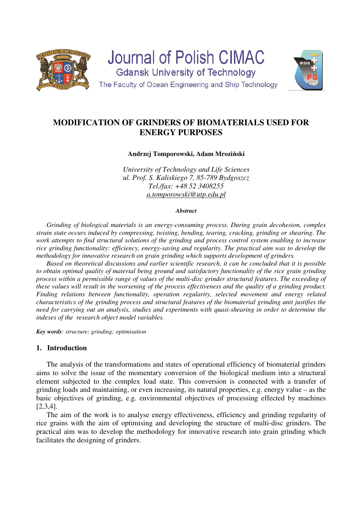

Journal of Polish CIMAC **Gdansk University of Technology** 



The Faculty of Ocean Engineering and Ship Technology

# **MODIFICATION OF GRINDERS OF BIOMATERIALS USED FOR ENERGY PURPOSES**

**Andrzej Tomporowski, Adam Mroziński** 

*University of Technology and Life Sciences ul. Prof. S. Kaliskiego 7, 85-789 Bydgoszcz Tel./fax: +48 52 3408255 a.tomporowski@utp.edu.pl* 

#### *Abstract*

*Grinding of biological materials is an energy-consuming process. During grain decohesion, complex strain state occurs induced by compressing, twisting, bending, tearing, cracking, grinding or shearing. The work attempts to find structural solutions of the grinding and process control system enabling to increase rice grinding functionality: efficiency, energy-saving and regularity. The practical aim was to develop the methodology for innovative research on grain grinding which supports development of grinders.* 

*Based on theoretical discussions and earlier scientific research, it can be concluded that it is possible to obtain optimal quality of material being ground and satisfactory functionality of the rice grain grinding process within a permissible range of values of the multi-disc grinder structural features. The exceeding of these values will result in the worsening of the process effectiveness and the quality of a grinding product. Finding relations between functionality, operation regularity, selected movement and energy related characteristics of the grinding process and structural features of the biomaterial grinding unit justifies the need for carrying out an analysis, studies and experiments with quasi-shearing in order to determine the indexes of the research object model variables.* 

*Key words: structure; grinding; optimisation* 

# **1. Introduction**

The analysis of the transformations and states of operational efficiency of biomaterial grinders aims to solve the issue of the momentary conversion of the biological medium into a structural element subjected to the complex load state. This conversion is connected with a transfer of grinding loads and maintaining, or even increasing, its natural properties, e.g. energy value – as the basic objectives of grinding, e.g. environmental objectives of processing effected by machines [2,3,4].

The aim of the work is to analyse energy effectiveness, efficiency and grinding regularity of rice grains with the aim of optimising and developing the structure of multi-disc grinders. The practical aim was to develop the methodology for innovative research into grain grinding which facilitates the designing of grinders.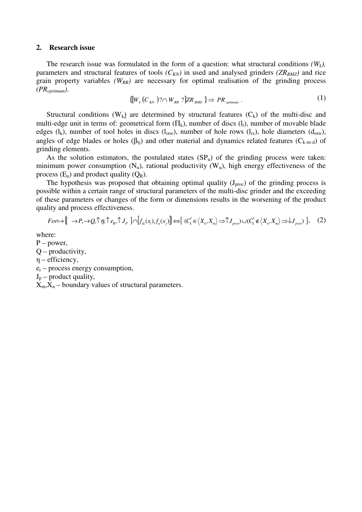#### **2. Research issue**

The research issue was formulated in the form of a question: what structural conditions  $(W_k)$ , parameters and structural features of tools  $(C_{KN})$  in used and analysed grinders  $(ZR_{BMZ})$  and rice grain property variables *(WRR)* are necessary for optimal realisation of the grinding process *(PRoptimum)*.

$$
\{ [W_k(C_{\text{KN}}))^? \cap W_{\text{RR}}]^2 \} \Rightarrow PR_{\text{optimum}} \,. \tag{1}
$$

Structural conditions  $(W_k)$  are determined by structural features  $(C_k)$  of the multi-disc and multi-edge unit in terms of: geometrical form  $(\Pi_k)$ , number of discs  $(l_i)$ , number of movable blade edges (l<sub>k</sub>), number of tool holes in discs (l<sub>otw</sub>), number of hole rows (l<sub>rz</sub>), hole diameters (d<sub>otw</sub>), angles of edge blades or holes ( $\beta_{ii}$ ) and other material and dynamics related features ( $C_{k-m-d}$ ) of grinding elements.

As the solution estimators, the postulated states  $(SP_u)$  of the grinding process were taken: minimum power consumption  $(N_u)$ , rational productivity  $(W_u)$ , high energy effectiveness of the process  $(E_u)$  and product quality  $(Q_R)$ .

The hypothesis was proposed that obtaining optimal quality  $(J_{proc})$  of the grinding process is possible within a certain range of structural parameters of the multi-disc grinder and the exceeding of these parameters or changes of the form or dimensions results in the worsening of the product quality and process effectiveness.

$$
For \mapsto \left[ \rightarrow P, \rightarrow Q, \uparrow \eta, \uparrow e_R, \uparrow J_P \right] \cap \left[ f_{dz}(x_i), f_u(x_j) \right] \Leftrightarrow \left[ (C^*_k \in \langle X_n, X_m \rangle \Rightarrow \uparrow J_{\text{proc}}) \cup (C^*_k \notin \langle X_n, X_m \rangle \Rightarrow J_{\text{proc}}) \right], \quad (2)
$$

where:

P – power,

 $Q$  – productivity,

η – efficiency,

er – process energy consumption,

 $J_p$  – product quality,

 $X_m, X_n$  – boundary values of structural parameters.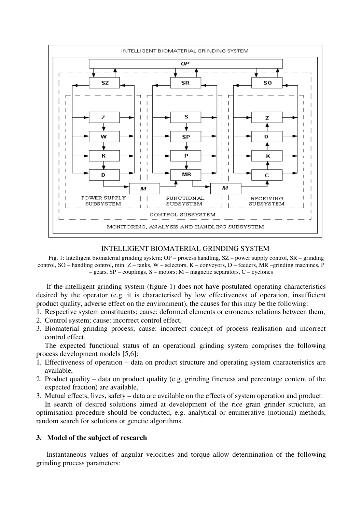

# INTELLIGENT BIOMATERIAL GRINDING SYSTEM

Fig. 1: Intelligent biomaterial grinding system; OP – process handling, SZ – power supply control, SR – grinding control, SO – handling control**,** min: Z – tanks, W – selectors, K – conveyors, D – feeders, MR –grinding machines, P – gears, SP – couplings, S – motors; M – magnetic separators, C – cyclones

If the intelligent grinding system (figure 1) does not have postulated operating characteristics desired by the operator (e.g. it is characterised by low effectiveness of operation, insufficient product quality, adverse effect on the environment), the causes for this may be the following:

- 1. Respective system constituents; cause: deformed elements or erroneous relations between them,
- 2. Control system; cause: incorrect control effect,
- 3. Biomaterial grinding process; cause: incorrect concept of process realisation and incorrect control effect.

The expected functional status of an operational grinding system comprises the following process development models [5,6]:

- 1. Effectiveness of operation data on product structure and operating system characteristics are available,
- 2. Product quality data on product quality (e.g. grinding fineness and percentage content of the expected fraction) are available,
- 3. Mutual effects, lives, safety data are available on the effects of system operation and product.

 In search of desired solutions aimed at development of the rice grain grinder structure, an optimisation procedure should be conducted, e.g. analytical or enumerative (notional) methods, random search for solutions or genetic algorithms.

#### **3. Model of the subject of research**

Instantaneous values of angular velocities and torque allow determination of the following grinding process parameters: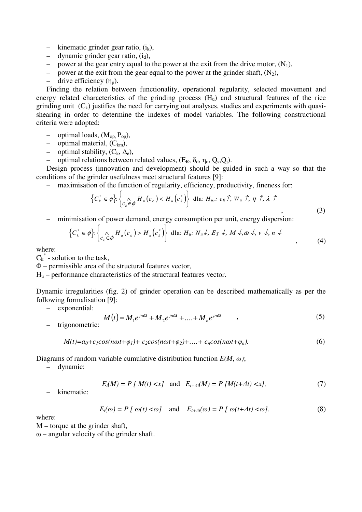- kinematic grinder gear ratio,  $(i_k)$ ,
- dynamic grinder gear ratio,  $(i_d)$ ,
- power at the gear entry equal to the power at the exit from the drive motor,  $(N_1)$ ,<br>– nower at the exit from the gear equal to the power at the grinder shaft,  $(N_2)$ ,
- power at the exit from the gear equal to the power at the grinder shaft,  $(N_2)$ ,
- drive efficiency  $(\eta_p)$ .

Finding the relation between functionality, operational regularity, selected movement and energy related characteristics of the grinding process  $(H<sub>u</sub>)$  and structural features of the rice grinding unit  $(C_k)$  justifies the need for carrying out analyses, studies and experiments with quasishearing in order to determine the indexes of model variables. The following constructional criteria were adopted:

- optimal loads,  $(M_{op}, P_{op})$ ,
- optimal material,  $(C_{km})$ ,
- optimal stability,  $(C_k, \Delta_e)$ ,
- optimal relations between related values,  $(E_R, \delta_d, \eta_o, Q_s, Q_i)$ .

Design process (innovation and development) should be guided in such a way so that the conditions of the grinder usefulness meet structural features [9]:

– maximisation of the function of regularity, efficiency, productivity, fineness for:

$$
\left\{ C_{k}^{*} \in \phi \right\}: \left\{ C_{k} \in \phi H_{u}(c_{k}) < H_{u}(c_{k}^{*}) \right\} \text{ dia: } H_{u}: e_{R} \uparrow, W_{u} \uparrow, \eta \uparrow, \lambda \uparrow
$$
\n
$$
\tag{3}
$$

– minimisation of power demand, energy consumption per unit, energy dispersion:

$$
\left\{ C_{k}^{*} \in \phi \right\}: \left\{ C_{k} \oplus \phi H_{u}(c_{k}) > H_{u}(c_{k}^{*}) \right\} \text{ dia: } H_{u}: N_{u} \downarrow, E_{T} \downarrow, M \downarrow, \omega \downarrow, v \downarrow, n \downarrow
$$
\n
$$
(4)
$$

where:

 $C_k^*$  - solution to the task,

Φ – permissible area of the structural features vector,

 $H<sub>u</sub>$  – performance characteristics of the structural features vector.

Dynamic irregularities (fig. 2) of grinder operation can be described mathematically as per the following formalisation [9]:

– exponential:

– trigonometric:

$$
M(t) = M_1 e^{jn\alpha t} + M_2 e^{jn\alpha t} + \dots + M_n e^{jn\alpha t} \tag{5}
$$

$$
M(t) = a_0 + c_1 \cos(n\omega t + \varphi_1) + c_2 \cos(n\omega t + \varphi_2) + \dots + c_n \cos(n\omega t + \varphi_n). \tag{6}
$$

Diagrams of random variable cumulative distribution function *E(M*, *ω)*;

– dynamic:

$$
E_t(M) = P[M(t) < x] \quad \text{and} \quad E_{t+dt}(M) = P[M(t+2t) < x], \tag{7}
$$

– kinematic:

$$
E_t(\omega) = P \left[ \omega(t) < \omega \right] \quad \text{and} \quad E_{t+At}(\omega) = P \left[ \omega(t+At) < \omega \right]. \tag{8}
$$

where:

M – torque at the grinder shaft,

 $\omega$  – angular velocity of the grinder shaft.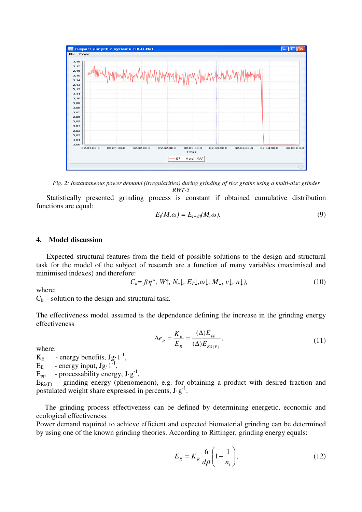

*Fig. 2: Instantaneous power demand (irregularities) during grinding of rice grains using a multi-disc grinder RWT-5* 

Statistically presented grinding process is constant if obtained cumulative distribution functions are equal;

$$
E_t(M,\omega) = E_{t+At}(M,\omega). \tag{9}
$$

### **4. Model discussion**

Expected structural features from the field of possible solutions to the design and structural task for the model of the subject of research are a function of many variables (maximised and minimised indexes) and therefore:

$$
C_k = f(\eta \uparrow, W \uparrow, N_e \downarrow, E_T \downarrow, \omega \downarrow, M \downarrow, \nu \downarrow, n \downarrow), \tag{10}
$$

where:

 $C_k$  – solution to the design and structural task.

The effectiveness model assumed is the dependence defining the increase in the grinding energy effectiveness

$$
\Delta e_R = \frac{K_E}{E_R} = \frac{(\Delta)E_{pp}}{(\Delta)E_{R\lambda(F)}},\tag{11}
$$

where:

 $K_{E}$  - energy benefits,  $Jg \cdot 1^{-1}$ ,

 $E_E$  - energy input,  $Jg \cdot 1^{-1}$ ,

 $E_{pp}$  - processability energy,  $J·g^{-1}$ ,

 $E_{\text{RA(F)}}$  - grinding energy (phenomenon), e.g. for obtaining a product with desired fraction and postulated weight share expressed in percents,  $J·g^{-1}$ .

The grinding process effectiveness can be defined by determining energetic, economic and ecological effectiveness.

Power demand required to achieve efficient and expected biomaterial grinding can be determined by using one of the known grinding theories. According to Rittinger, grinding energy equals:

$$
E_R = K_R \frac{6}{d\rho} \left( 1 - \frac{1}{n_i} \right),\tag{12}
$$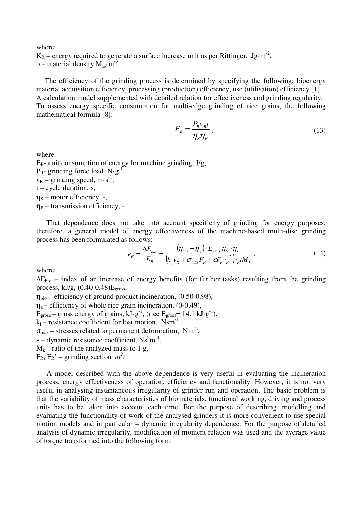where:

 $K_R$  – energy required to generate a surface increase unit as per Rittinger,  $Jg·m^2$ ,  $\rho$  – material density Mg·m<sup>-3</sup>.

The efficiency of the grinding process is determined by specifying the following: bioenergy material acquisition efficiency, processing (production) efficiency, use (utilisation) efficiency [1]. A calculation model supplemented with detailed relation for effectiveness and grinding regularity. To assess energy specific consumption for multi-edge grinding of rice grains, the following mathematical formula [8]:

$$
E_R = \frac{P_R v_R t}{\eta_S \eta_P},\tag{13}
$$

where:

 $E_R$ - unit consumption of energy for machine grinding, J/g,  $P_{R}$ - grinding force load, N·g<sup>-1</sup>,  $v_R$  – grinding speed, m·s<sup>-1</sup>,  $t - cycle$  duration, s,  $\eta_s$  – motor efficiency, -,  $\eta_P$  – transmission efficiency, -.

That dependence does not take into account specificity of grinding for energy purposes; therefore, a general model of energy effectiveness of the machine-based multi-disc grinding process has been formulated as follows:

$$
e_R = \frac{\Delta E_{bio}}{E_R} = \frac{(\eta_{bio} - \eta_z) \cdot E_{gross} \eta_s \cdot \eta_P}{(k_j v_R + \sigma_{max} F_R + \varepsilon F_R v_R^2) v_R t M_k},
$$
(14)

where:

 $\Delta E_{bio}$  – index of an increase of energy benefits (for further tasks) resulting from the grinding process,  $kJ/g$ ,  $(0.40-0.48)E<sub>gross</sub>$ ,

 $\eta_{bio}$  – efficiency of ground product incineration, (0.50-0.98),  $\eta_z$  – efficiency of whole rice grain incineration, (0-0.49),  $E_{\text{gross}}$  – gross energy of grains, kJ·g<sup>-1</sup>, (rice  $E_{\text{gross}}$  = 14.1 kJ·g<sup>-1</sup>),  $k_j$  – resistance coefficient for lost motion, Nsm<sup>-1</sup>,  $\sigma_{\text{max}}$  – stresses related to permanent deformation, Nm<sup>-2</sup>,  $\varepsilon$  – dynamic resistance coefficient, Ns<sup>2</sup>m<sup>-4</sup>,  $M_k$  – ratio of the analyzed mass to 1 g,  $F_R$ ,  $F_R'$  – grinding section,  $m^2$ .

A model described with the above dependence is very useful in evaluating the incineration process, energy effectiveness of operation, efficiency and functionality. However, it is not very useful in analysing instantaneous irregularity of grinder run and operation. The basic problem is that the variability of mass characteristics of biomaterials, functional working, driving and process units has to be taken into account each time. For the purpose of describing, modelling and evaluating the functionality of work of the analysed grinders it is more convenient to use special motion models and in particular – dynamic irregularity dependence. For the purpose of detailed analysis of dynamic irregularity, modification of moment relation was used and the average value of torque transformed into the following form: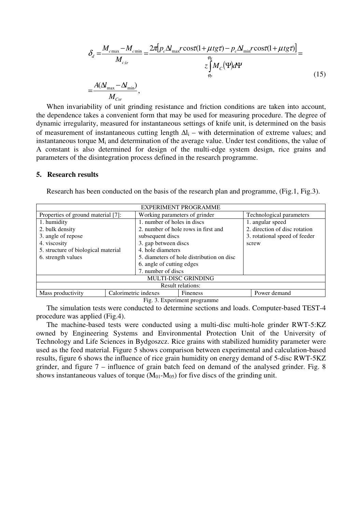$$
\delta_d = \frac{M_{cmax} - M_{cmin}}{M_{cstr}} = \frac{2\pi [p_c \Delta l_{max} r \cos(\tau (1 + \mu t g \tau) - p_c \Delta l_{min} r \cos(\tau (1 + \mu t g \tau))] }{z \int_{\varphi_p}^{\varphi_K} M_c(\Psi) d\Psi} = \frac{A(\Delta l_{max} - \Delta l_{min})}{\sum_{\tau = \varphi_p}^{\varphi_f} N_{max} - \sum_{\tau = \varphi_p}^{\varphi_f} M_c(\Psi) d\Psi}
$$
\n(15)

$$
=\frac{A(\Delta t_{\text{max}}-\Delta t_{\text{min}})}{M_{\text{Csr}}},
$$

When invariability of unit grinding resistance and friction conditions are taken into account, the dependence takes a convenient form that may be used for measuring procedure. The degree of dynamic irregularity, measured for instantaneous settings of knife unit, is determined on the basis of measurement of instantaneous cutting length  $\Delta l_i$  – with determination of extreme values; and instantaneous torque  $M_i$  and determination of the average value. Under test conditions, the value of A constant is also determined for design of the multi-edge system design, rice grains and parameters of the disintegration process defined in the research programme.

#### **5. Research results**

Research has been conducted on the basis of the research plan and programme, (Fig.1, Fig.3).

| <b>EXPERIMENT PROGRAMME</b>         |                      |                                           |          |                               |                               |  |
|-------------------------------------|----------------------|-------------------------------------------|----------|-------------------------------|-------------------------------|--|
| Properties of ground material [7]:  |                      | Working parameters of grinder             |          | Technological parameters      |                               |  |
| 1. humidity                         |                      | 1. number of holes in discs               |          | 1. angular speed              |                               |  |
| 2. bulk density                     |                      | 2. number of hole rows in first and       |          |                               | 2. direction of disc rotation |  |
| 3. angle of repose                  |                      | subsequent discs                          |          | 3. rotational speed of feeder |                               |  |
| 4. viscosity                        |                      | 3. gap between discs                      |          |                               | screw                         |  |
| 5. structure of biological material |                      | 4. hole diameters                         |          |                               |                               |  |
| 6. strength values                  |                      | 5. diameters of hole distribution on disc |          |                               |                               |  |
|                                     |                      | 6. angle of cutting edges                 |          |                               |                               |  |
|                                     |                      | 7. number of discs                        |          |                               |                               |  |
| <b>MULTI-DISC GRINDING</b>          |                      |                                           |          |                               |                               |  |
| <b>Result relations:</b>            |                      |                                           |          |                               |                               |  |
| Mass productivity                   | Calorimetric indexes |                                           | Fineness |                               | Power demand                  |  |

Fig. 3. Experiment programme

The simulation tests were conducted to determine sections and loads. Computer-based TEST-4 procedure was applied (Fig.4).

The machine-based tests were conducted using a multi-disc multi-hole grinder RWT-5:KZ owned by Engineering Systems and Environmental Protection Unit of the University of Technology and Life Sciences in Bydgoszcz. Rice grains with stabilized humidity parameter were used as the feed material. Figure 5 shows comparison between experimental and calculation-based results, figure 6 shows the influence of rice grain humidity on energy demand of 5-disc RWT-5KZ grinder, and figure 7 – influence of grain batch feed on demand of the analysed grinder. Fig. 8 shows instantaneous values of torque  $(M<sub>01</sub>-M<sub>05</sub>)$  for five discs of the grinding unit.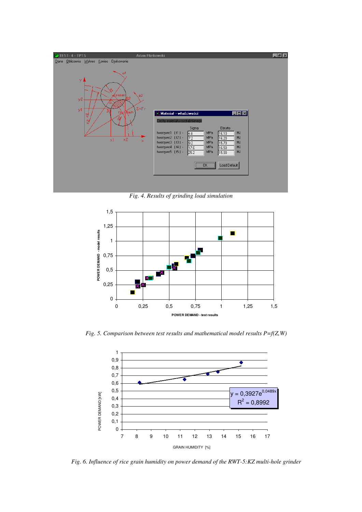

*Fig. 4. Results of grinding load simulation* 



*Fig. 5. Comparison between test results and mathematical model results P=f(Z,W)* 



*Fig. 6. Influence of rice grain humidity on power demand of the RWT-5:KZ multi-hole grinder*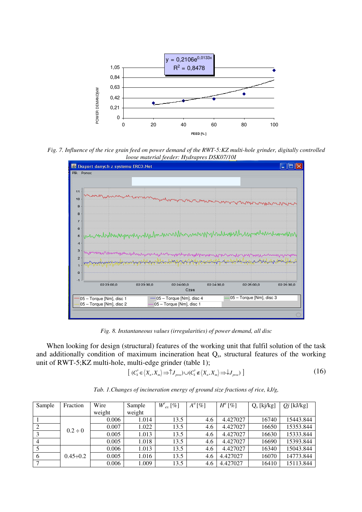

*Fig. 7. Influence of the rice grain feed on power demand of the RWT-5:KZ multi-hole grinder, digitally controlled loose material feeder: Hydrapres DSK07/10I* 



*Fig. 8. Instantaneous values (irregularities) of power demand, all disc* 

When looking for design (structural) features of the working unit that fulfil solution of the task and additionally condition of maximum incineration heat  $Q_s$ , structural features of the working unit of RWT-5;KZ multi-hole, multi-edge grinder (table 1);

$$
[(C_{k}^{*} \in \langle X_{n}, X_{m} \rangle \Rightarrow \hat{U}_{proc}) \cup (C_{k}^{*} \notin \langle X_{n}, X_{m} \rangle \Rightarrow \hat{U}_{proc})]
$$
\n(16)

| Sample | Fraction        | Wire   | Sample | $W_{ex}^r[\%]$ | $A^a$ [%] | $H^a$ [%] | $Q_s$ [kj/kg] | $Qj$ [kJ/kg] |
|--------|-----------------|--------|--------|----------------|-----------|-----------|---------------|--------------|
|        |                 | weight | weight |                |           |           |               |              |
|        | $0.2 \div 0$    | 0.006  | 1.014  | 13.5           | 4.6       | 4.427027  | 16740         | 15443.844    |
|        |                 | 0.007  | 1.022  | 13.5           | 4.6       | 4.427027  | 16650         | 15353.844    |
|        |                 | 0.005  | 1.013  | 13.5           | 4.6       | 4.427027  | 16630         | 15333.844    |
|        |                 | 0.005  | 1.018  | 13.5           | 4.6       | 4.427027  | 16690         | 15393.844    |
|        | $0.45 \div 0.2$ | 0.006  | 1.013  | 13.5           | 4.6       | 4.427027  | 16340         | 15043.844    |
| 6      |                 | 0.005  | 1.016  | 13.5           | 4.6       | 4.427027  | 16070         | 14773.844    |
|        |                 | 0.006  | 1.009  | 13.5           | 4.6       | 4.427027  | 16410         | 15113.844    |

*Tab. 1.Changes of incineration energy of ground size fractions of rice, kJ/g,*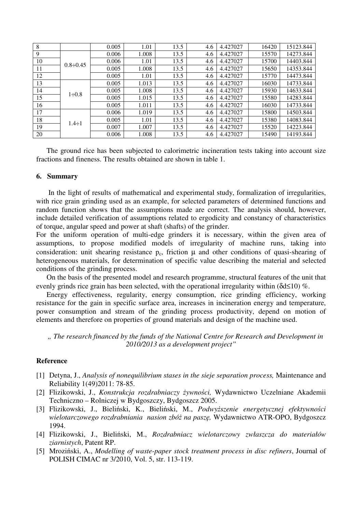| 8  |                 | 0.005 | 1.01  | 13.5 | 4.6 | 4.427027 | 16420 | 15123.844 |
|----|-----------------|-------|-------|------|-----|----------|-------|-----------|
| 9  | $0.8 \div 0.45$ | 0.006 | 1.008 | 13.5 | 4.6 | 4.427027 | 15570 | 14273.844 |
| 10 |                 | 0.006 | 1.01  | 13.5 | 4.6 | 4.427027 | 15700 | 14403.844 |
| 11 |                 | 0.005 | 1.008 | 13.5 | 4.6 | 4.427027 | 15650 | 14353.844 |
| 12 |                 | 0.005 | 1.01  | 13.5 | 4.6 | 4.427027 | 15770 | 14473.844 |
| 13 | $1 \div 0.8$    | 0.005 | 1.013 | 13.5 | 4.6 | 4.427027 | 16030 | 14733.844 |
| 14 |                 | 0.005 | 1.008 | 13.5 | 4.6 | 4.427027 | 15930 | 14633.844 |
| 15 |                 | 0.005 | 1.015 | 13.5 | 4.6 | 4.427027 | 15580 | 14283.844 |
| 16 |                 | 0.005 | 1.011 | 13.5 | 4.6 | 4.427027 | 16030 | 14733.844 |
| 17 | $1.4 \div 1$    | 0.006 | 1.019 | 13.5 | 4.6 | 4.427027 | 15800 | 14503.844 |
| 18 |                 | 0.005 | 1.01  | 13.5 | 4.6 | 4.427027 | 15380 | 14083.844 |
| 19 |                 | 0.007 | 1.007 | 13.5 | 4.6 | 4.427027 | 15520 | 14223.844 |
| 20 |                 | 0.006 | 1.008 | 13.5 | 4.6 | 4.427027 | 15490 | 14193.844 |

The ground rice has been subjected to calorimetric incineration tests taking into account size fractions and fineness. The results obtained are shown in table 1.

# **6. Summary**

 In the light of results of mathematical and experimental study, formalization of irregularities, with rice grain grinding used as an example, for selected parameters of determined functions and random function shows that the assumptions made are correct. The analysis should, however, include detailed verification of assumptions related to ergodicity and constancy of characteristics of torque, angular speed and power at shaft (shafts) of the grinder.

For the uniform operation of multi-edge grinders it is necessary, within the given area of assumptions, to propose modified models of irregularity of machine runs, taking into consideration: unit shearing resistance  $p_c$ , friction  $\mu$  and other conditions of quasi-shearing of heterogeneous materials, for determination of specific value describing the material and selected conditions of the grinding process.

On the basis of the presented model and research programme, structural features of the unit that evenly grinds rice grain has been selected, with the operational irregularity within  $(\delta d \le 10)$  %.

Energy effectiveness, regularity, energy consumption, rice grinding efficiency, working resistance for the gain in specific surface area, increases in incineration energy and temperature, power consumption and stream of the grinding process productivity, depend on motion of elements and therefore on properties of ground materials and design of the machine used.

*" The research financed by the funds of the National Centre for Research and Development in 2010/2013 as a development project"* 

# **Reference**

- [1] Detyna, J., *Analysis of nonequilibrium stases in the sieje separation process,* Maintenance and Reliability 1(49)2011: 78-85.
- [2] Flizikowski, J., *Konstrukcja rozdrabniaczy żywności,* Wydawnictwo Uczelniane Akademii Techniczno – Rolniczej w Bydgoszczy, Bydgoszcz 2005.
- [3] Flizikowski, J., Bieliński, K., Bieliński, M., *Podwyższenie energetycznej efektywności wielotarczowego rozdrabniania nasion zbóż na paszę,* Wydawnictwo ATR-OPO, Bydgoszcz 1994.
- [4] Flizikowski, J., Bieliński, M., *Rozdrabniacz wielotarczowy zwłaszcza do materiałów ziarnistych*, Patent RP.
- [5] Mroziński, A., *Modelling of waste-paper stock treatment process in disc refiners*, Journal of POLISH CIMAC nr 3/2010, Vol. 5, str. 113-119.